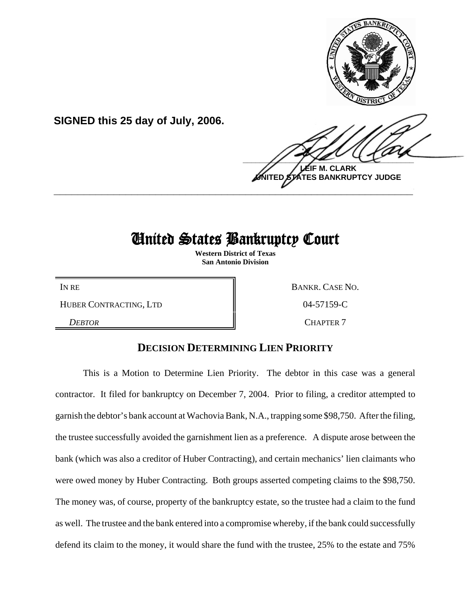

**SIGNED this 25 day of July, 2006.**

**M. CLARK TES BANKRUPTCY JUDGE** 

# United States Bankruptcy Court

**\_\_\_\_\_\_\_\_\_\_\_\_\_\_\_\_\_\_\_\_\_\_\_\_\_\_\_\_\_\_\_\_\_\_\_\_\_\_\_\_\_\_\_\_\_\_\_\_\_\_\_\_\_\_\_\_\_\_\_\_**

**Western District of Texas San Antonio Division**

HUBER CONTRACTING, LTD  $\parallel$  04-57159-C

IN RE BANKR. CASE NO.

*DEBTOR* CHAPTER 7

## **DECISION DETERMINING LIEN PRIORITY**

This is a Motion to Determine Lien Priority. The debtor in this case was a general contractor. It filed for bankruptcy on December 7, 2004. Prior to filing, a creditor attempted to garnish the debtor's bank account at Wachovia Bank, N.A., trapping some \$98,750. After the filing, the trustee successfully avoided the garnishment lien as a preference. A dispute arose between the bank (which was also a creditor of Huber Contracting), and certain mechanics' lien claimants who were owed money by Huber Contracting. Both groups asserted competing claims to the \$98,750. The money was, of course, property of the bankruptcy estate, so the trustee had a claim to the fund as well. The trustee and the bank entered into a compromise whereby, if the bank could successfully defend its claim to the money, it would share the fund with the trustee, 25% to the estate and 75%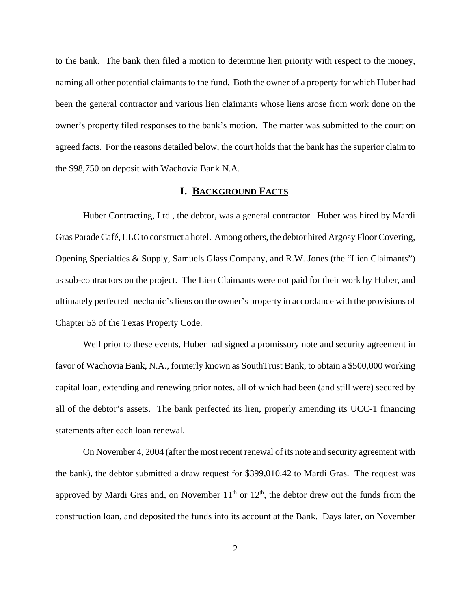to the bank. The bank then filed a motion to determine lien priority with respect to the money, naming all other potential claimants to the fund. Both the owner of a property for which Huber had been the general contractor and various lien claimants whose liens arose from work done on the owner's property filed responses to the bank's motion. The matter was submitted to the court on agreed facts. For the reasons detailed below, the court holds that the bank has the superior claim to the \$98,750 on deposit with Wachovia Bank N.A.

## **I. BACKGROUND FACTS**

Huber Contracting, Ltd., the debtor, was a general contractor. Huber was hired by Mardi Gras Parade Café, LLC to construct a hotel. Among others, the debtor hired Argosy Floor Covering, Opening Specialties & Supply, Samuels Glass Company, and R.W. Jones (the "Lien Claimants") as sub-contractors on the project. The Lien Claimants were not paid for their work by Huber, and ultimately perfected mechanic's liens on the owner's property in accordance with the provisions of Chapter 53 of the Texas Property Code.

Well prior to these events, Huber had signed a promissory note and security agreement in favor of Wachovia Bank, N.A., formerly known as SouthTrust Bank, to obtain a \$500,000 working capital loan, extending and renewing prior notes, all of which had been (and still were) secured by all of the debtor's assets. The bank perfected its lien, properly amending its UCC-1 financing statements after each loan renewal.

On November 4, 2004 (after the most recent renewal of its note and security agreement with the bank), the debtor submitted a draw request for \$399,010.42 to Mardi Gras. The request was approved by Mardi Gras and, on November  $11<sup>th</sup>$  or  $12<sup>th</sup>$ , the debtor drew out the funds from the construction loan, and deposited the funds into its account at the Bank. Days later, on November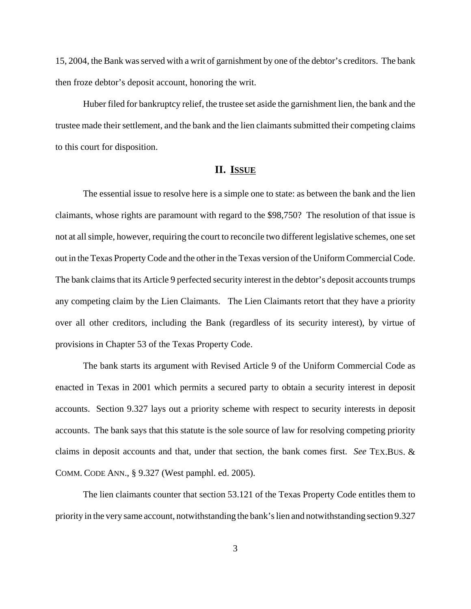15, 2004, the Bank was served with a writ of garnishment by one of the debtor's creditors. The bank then froze debtor's deposit account, honoring the writ.

Huber filed for bankruptcy relief, the trustee set aside the garnishment lien, the bank and the trustee made their settlement, and the bank and the lien claimants submitted their competing claims to this court for disposition.

## **II. ISSUE**

The essential issue to resolve here is a simple one to state: as between the bank and the lien claimants, whose rights are paramount with regard to the \$98,750? The resolution of that issue is not at all simple, however, requiring the court to reconcile two different legislative schemes, one set out in the Texas Property Code and the other in the Texas version of the Uniform Commercial Code. The bank claims that its Article 9 perfected security interest in the debtor's deposit accounts trumps any competing claim by the Lien Claimants. The Lien Claimants retort that they have a priority over all other creditors, including the Bank (regardless of its security interest), by virtue of provisions in Chapter 53 of the Texas Property Code.

The bank starts its argument with Revised Article 9 of the Uniform Commercial Code as enacted in Texas in 2001 which permits a secured party to obtain a security interest in deposit accounts. Section 9.327 lays out a priority scheme with respect to security interests in deposit accounts. The bank says that this statute is the sole source of law for resolving competing priority claims in deposit accounts and that, under that section, the bank comes first. *See* TEX.BUS. & COMM. CODE ANN., § 9.327 (West pamphl. ed. 2005).

The lien claimants counter that section 53.121 of the Texas Property Code entitles them to priority in the very same account, notwithstanding the bank's lien and notwithstanding section 9.327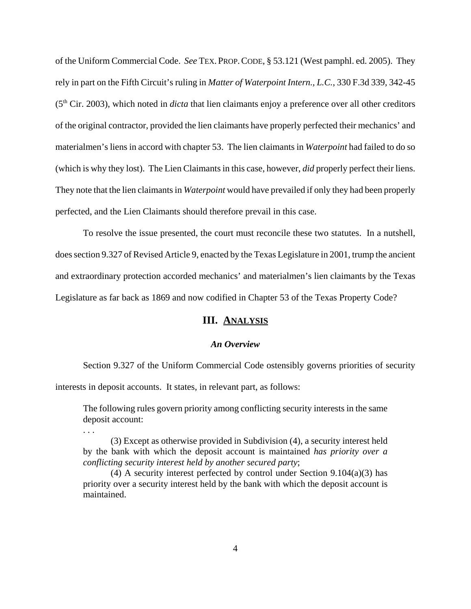of the Uniform Commercial Code. *See* TEX. PROP.CODE, § 53.121 (West pamphl. ed. 2005). They rely in part on the Fifth Circuit's ruling in *Matter of Waterpoint Intern., L.C.*, 330 F.3d 339, 342-45 (5th Cir. 2003), which noted in *dicta* that lien claimants enjoy a preference over all other creditors of the original contractor, provided the lien claimants have properly perfected their mechanics' and materialmen's liens in accord with chapter 53. The lien claimants in *Waterpoint* had failed to do so (which is why they lost). The Lien Claimants in this case, however, *did* properly perfect their liens. They note that the lien claimants in *Waterpoint* would have prevailed if only they had been properly perfected, and the Lien Claimants should therefore prevail in this case.

To resolve the issue presented, the court must reconcile these two statutes. In a nutshell, does section 9.327 of Revised Article 9, enacted by the Texas Legislature in 2001, trump the ancient and extraordinary protection accorded mechanics' and materialmen's lien claimants by the Texas Legislature as far back as 1869 and now codified in Chapter 53 of the Texas Property Code?

## **III. ANALYSIS**

#### *An Overview*

Section 9.327 of the Uniform Commercial Code ostensibly governs priorities of security interests in deposit accounts. It states, in relevant part, as follows:

The following rules govern priority among conflicting security interests in the same deposit account:

. . .

(3) Except as otherwise provided in Subdivision (4), a security interest held by the bank with which the deposit account is maintained *has priority over a conflicting security interest held by another secured party*;

(4) A security interest perfected by control under Section  $9.104(a)(3)$  has priority over a security interest held by the bank with which the deposit account is maintained.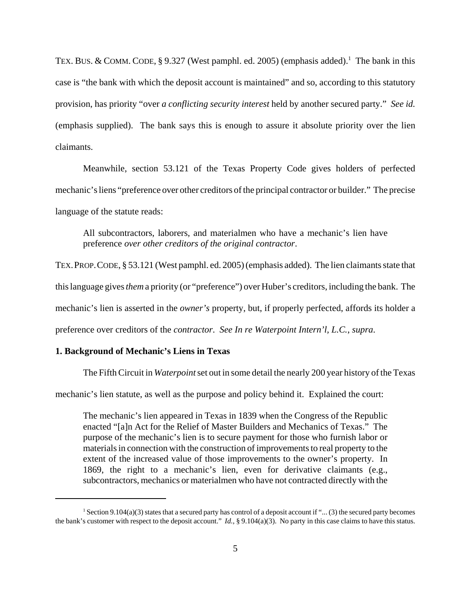TEX. BUS. & COMM. CODE, § 9.327 (West pamphl. ed. 2005) (emphasis added).<sup>1</sup> The bank in this case is "the bank with which the deposit account is maintained" and so, according to this statutory provision, has priority "over *a conflicting security interest* held by another secured party." *See id.* (emphasis supplied). The bank says this is enough to assure it absolute priority over the lien claimants.

Meanwhile, section 53.121 of the Texas Property Code gives holders of perfected mechanic's liens "preference over other creditors of the principal contractor or builder." The precise language of the statute reads:

All subcontractors, laborers, and materialmen who have a mechanic's lien have preference *over other creditors of the original contractor*.

TEX.PROP.CODE, § 53.121 (West pamphl. ed. 2005) (emphasis added). The lien claimants state that this language gives *them* a priority (or "preference") over Huber's creditors, including the bank. The mechanic's lien is asserted in the *owner's* property, but, if properly perfected, affords its holder a preference over creditors of the *contractor*. *See In re Waterpoint Intern'l, L.C.*, *supra*.

#### **1. Background of Mechanic's Liens in Texas**

The Fifth Circuit in *Waterpoint* set out in some detail the nearly 200 year history of the Texas

mechanic's lien statute, as well as the purpose and policy behind it. Explained the court:

The mechanic's lien appeared in Texas in 1839 when the Congress of the Republic enacted "[a]n Act for the Relief of Master Builders and Mechanics of Texas." The purpose of the mechanic's lien is to secure payment for those who furnish labor or materials in connection with the construction of improvements to real property to the extent of the increased value of those improvements to the owner's property. In 1869, the right to a mechanic's lien, even for derivative claimants (e.g., subcontractors, mechanics or materialmen who have not contracted directly with the

<sup>&</sup>lt;sup>1</sup> Section 9.104(a)(3) states that a secured party has control of a deposit account if "... (3) the secured party becomes the bank's customer with respect to the deposit account."  $Id$ , § 9.104(a)(3). No party in this case claims to have this status.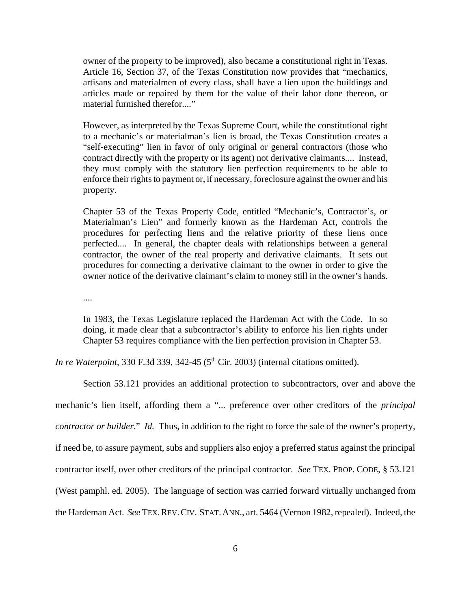owner of the property to be improved), also became a constitutional right in Texas. Article 16, Section 37, of the Texas Constitution now provides that "mechanics, artisans and materialmen of every class, shall have a lien upon the buildings and articles made or repaired by them for the value of their labor done thereon, or material furnished therefor...."

However, as interpreted by the Texas Supreme Court, while the constitutional right to a mechanic's or materialman's lien is broad, the Texas Constitution creates a "self-executing" lien in favor of only original or general contractors (those who contract directly with the property or its agent) not derivative claimants.... Instead, they must comply with the statutory lien perfection requirements to be able to enforce their rights to payment or, if necessary, foreclosure against the owner and his property.

Chapter 53 of the Texas Property Code, entitled "Mechanic's, Contractor's, or Materialman's Lien" and formerly known as the Hardeman Act, controls the procedures for perfecting liens and the relative priority of these liens once perfected.... In general, the chapter deals with relationships between a general contractor, the owner of the real property and derivative claimants. It sets out procedures for connecting a derivative claimant to the owner in order to give the owner notice of the derivative claimant's claim to money still in the owner's hands.

....

In 1983, the Texas Legislature replaced the Hardeman Act with the Code. In so doing, it made clear that a subcontractor's ability to enforce his lien rights under Chapter 53 requires compliance with the lien perfection provision in Chapter 53.

*In re Waterpoint*, 330 F.3d 339, 342-45 ( $5<sup>th</sup> Cir. 2003$ ) (internal citations omitted).

Section 53.121 provides an additional protection to subcontractors, over and above the mechanic's lien itself, affording them a "... preference over other creditors of the *principal contractor or builder*." *Id.* Thus, in addition to the right to force the sale of the owner's property, if need be, to assure payment, subs and suppliers also enjoy a preferred status against the principal contractor itself, over other creditors of the principal contractor. *See* TEX. PROP. CODE, § 53.121 (West pamphl. ed. 2005). The language of section was carried forward virtually unchanged from the Hardeman Act. *See* TEX.REV.CIV. STAT.ANN., art. 5464 (Vernon 1982, repealed). Indeed, the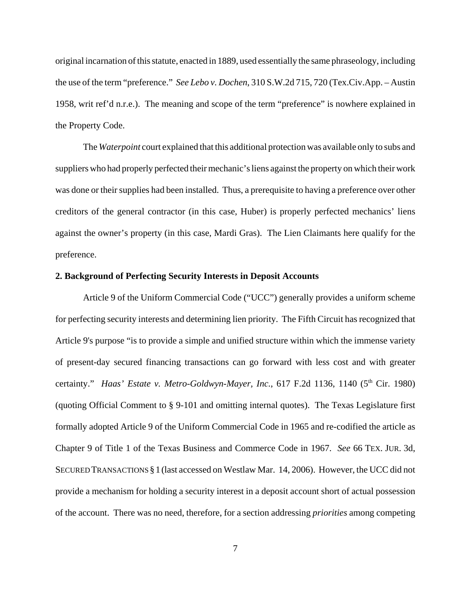original incarnation of this statute, enacted in 1889, used essentially the same phraseology, including the use of the term "preference." *See Lebo v. Dochen*, 310 S.W.2d 715, 720 (Tex.Civ.App. – Austin 1958, writ ref'd n.r.e.). The meaning and scope of the term "preference" is nowhere explained in the Property Code.

The *Waterpoint* court explained that this additional protection was available only to subs and suppliers who had properly perfected their mechanic's liens against the property on which their work was done or their supplies had been installed. Thus, a prerequisite to having a preference over other creditors of the general contractor (in this case, Huber) is properly perfected mechanics' liens against the owner's property (in this case, Mardi Gras). The Lien Claimants here qualify for the preference.

#### **2. Background of Perfecting Security Interests in Deposit Accounts**

Article 9 of the Uniform Commercial Code ("UCC") generally provides a uniform scheme for perfecting security interests and determining lien priority. The Fifth Circuit has recognized that Article 9's purpose "is to provide a simple and unified structure within which the immense variety of present-day secured financing transactions can go forward with less cost and with greater certainty." *Haas' Estate v. Metro-Goldwyn-Mayer, Inc.*, 617 F.2d 1136, 1140 (5<sup>th</sup> Cir. 1980) (quoting Official Comment to § 9-101 and omitting internal quotes). The Texas Legislature first formally adopted Article 9 of the Uniform Commercial Code in 1965 and re-codified the article as Chapter 9 of Title 1 of the Texas Business and Commerce Code in 1967. *See* 66 TEX. JUR. 3d, SECURED TRANSACTIONS § 1 (last accessed on Westlaw Mar. 14, 2006). However, the UCC did not provide a mechanism for holding a security interest in a deposit account short of actual possession of the account. There was no need, therefore, for a section addressing *priorities* among competing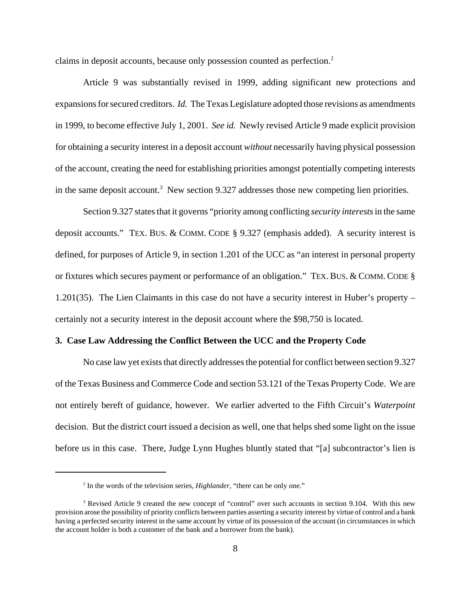claims in deposit accounts, because only possession counted as perfection.<sup>2</sup>

Article 9 was substantially revised in 1999, adding significant new protections and expansions for secured creditors. *Id.* The Texas Legislature adopted those revisions as amendments in 1999, to become effective July 1, 2001. *See id.* Newly revised Article 9 made explicit provision for obtaining a security interest in a deposit account *without* necessarily having physical possession of the account, creating the need for establishing priorities amongst potentially competing interests in the same deposit account.<sup>3</sup> New section 9.327 addresses those new competing lien priorities.

Section 9.327 states that it governs "priority among conflicting *security interests* in the same deposit accounts." TEX. BUS. & COMM. CODE § 9.327 (emphasis added). A security interest is defined, for purposes of Article 9, in section 1.201 of the UCC as "an interest in personal property or fixtures which secures payment or performance of an obligation." TEX. BUS. & COMM. CODE § 1.201(35). The Lien Claimants in this case do not have a security interest in Huber's property – certainly not a security interest in the deposit account where the \$98,750 is located.

#### **3. Case Law Addressing the Conflict Between the UCC and the Property Code**

No case law yet exists that directly addresses the potential for conflict between section 9.327 of the Texas Business and Commerce Code and section 53.121 of the Texas Property Code. We are not entirely bereft of guidance, however. We earlier adverted to the Fifth Circuit's *Waterpoint* decision. But the district court issued a decision as well, one that helps shed some light on the issue before us in this case. There, Judge Lynn Hughes bluntly stated that "[a] subcontractor's lien is

<sup>&</sup>lt;sup>2</sup> In the words of the television series, *Highlander*, "there can be only one."

<sup>&</sup>lt;sup>3</sup> Revised Article 9 created the new concept of "control" over such accounts in section 9.104. With this new provision arose the possibility of priority conflicts between parties asserting a security interest by virtue of control and a bank having a perfected security interest in the same account by virtue of its possession of the account (in circumstances in which the account holder is both a customer of the bank and a borrower from the bank).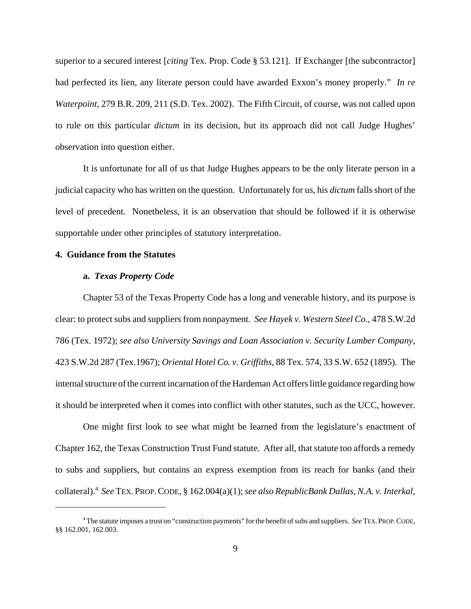superior to a secured interest [*citing* Tex. Prop. Code § 53.121]. If Exchanger [the subcontractor] had perfected its lien, any literate person could have awarded Exxon's money properly." *In re Waterpoint,* 279 B.R. 209, 211 (S.D. Tex. 2002). The Fifth Circuit, of course, was not called upon to rule on this particular *dictum* in its decision, but its approach did not call Judge Hughes' observation into question either.

It is unfortunate for all of us that Judge Hughes appears to be the only literate person in a judicial capacity who has written on the question. Unfortunately for us, his *dictum* falls short of the level of precedent. Nonetheless, it is an observation that should be followed if it is otherwise supportable under other principles of statutory interpretation.

### **4. Guidance from the Statutes**

#### **a.** *Texas Property Code*

Chapter 53 of the Texas Property Code has a long and venerable history, and its purpose is clear: to protect subs and suppliers from nonpayment. *See Hayek v. Western Steel Co.*, 478 S.W.2d 786 (Tex. 1972); *see also University Savings and Loan Association v. Security Lumber Company*, 423 S.W.2d 287 (Tex.1967); *Oriental Hotel Co. v. Griffiths*, 88 Tex. 574, 33 S.W. 652 (1895). The internal structure of the current incarnation of the Hardeman Act offers little guidance regarding how it should be interpreted when it comes into conflict with other statutes, such as the UCC, however.

One might first look to see what might be learned from the legislature's enactment of Chapter 162, the Texas Construction Trust Fund statute. After all, that statute too affords a remedy to subs and suppliers, but contains an express exemption from its reach for banks (and their collateral).4 *See* TEX.PROP.CODE, § 162.004(a)(1); *see also RepublicBank Dallas, N.A. v. Interkal,*

<sup>4</sup> The statute imposes a trust on "construction payments" for the benefit of subs and suppliers. *See* TEX.PROP.CODE, §§ 162.001, 162.003.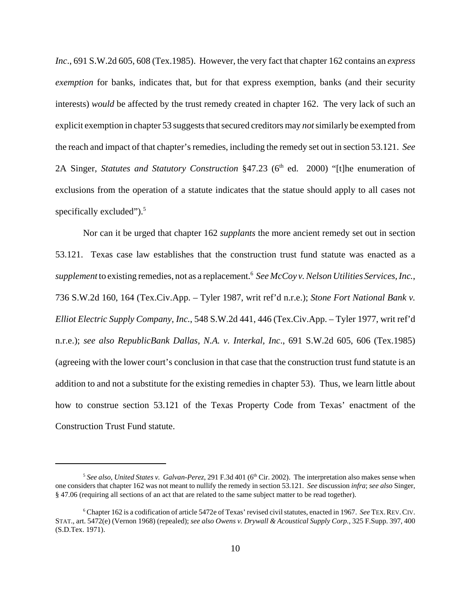*Inc*., 691 S.W.2d 605, 608 (Tex.1985). However, the very fact that chapter 162 contains an *express exemption* for banks, indicates that, but for that express exemption, banks (and their security interests) *would* be affected by the trust remedy created in chapter 162. The very lack of such an explicit exemption in chapter 53 suggests that secured creditors may *not* similarly be exempted from the reach and impact of that chapter's remedies, including the remedy set out in section 53.121. *See* 2A Singer, *Statutes and Statutory Construction* §47.23 (6<sup>th</sup> ed. 2000) "[t]he enumeration of exclusions from the operation of a statute indicates that the statue should apply to all cases not specifically excluded"). $5$ 

Nor can it be urged that chapter 162 *supplants* the more ancient remedy set out in section 53.121. Texas case law establishes that the construction trust fund statute was enacted as a supplement to existing remedies, not as a replacement.<sup>6</sup> See McCoy v. Nelson Utilities Services, Inc., 736 S.W.2d 160, 164 (Tex.Civ.App. – Tyler 1987, writ ref'd n.r.e.); *Stone Fort National Bank v. Elliot Electric Supply Company, Inc.*, 548 S.W.2d 441, 446 (Tex.Civ.App. – Tyler 1977, writ ref'd n.r.e.); *see also RepublicBank Dallas, N.A. v. Interkal, Inc*., 691 S.W.2d 605, 606 (Tex.1985) (agreeing with the lower court's conclusion in that case that the construction trust fund statute is an addition to and not a substitute for the existing remedies in chapter 53). Thus, we learn little about how to construe section 53.121 of the Texas Property Code from Texas' enactment of the Construction Trust Fund statute.

 $5$  See also, *United States v. Galvan-Perez*, 291 F.3d 401 ( $6<sup>th</sup>$  Cir. 2002). The interpretation also makes sense when one considers that chapter 162 was not meant to nullify the remedy in section 53.121. *See* discussion *infra*; *see also* Singer, § 47.06 (requiring all sections of an act that are related to the same subject matter to be read together).

<sup>6</sup> Chapter 162 is a codification of article 5472e of Texas' revised civil statutes, enacted in 1967. *See* TEX.REV.CIV. STAT., art. 5472(e) (Vernon 1968) (repealed); *see also Owens v. Drywall & Acoustical Supply Corp.*, 325 F.Supp. 397, 400 (S.D.Tex. 1971).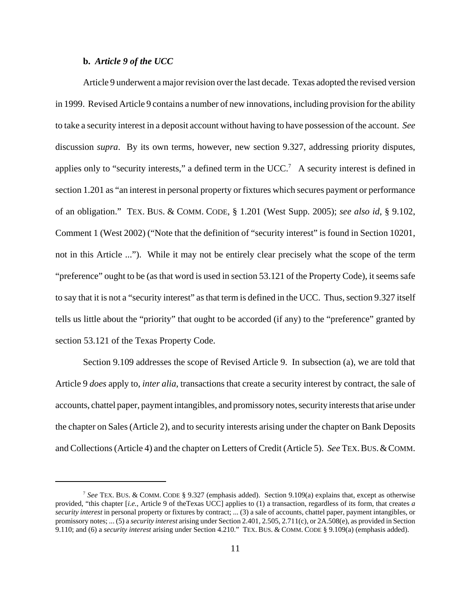#### **b.** *Article 9 of the UCC*

Article 9 underwent a major revision over the last decade. Texas adopted the revised version in 1999. Revised Article 9 contains a number of new innovations, including provision for the ability to take a security interest in a deposit account without having to have possession of the account. *See* discussion *supra*. By its own terms, however, new section 9.327, addressing priority disputes, applies only to "security interests," a defined term in the UCC.<sup>7</sup> A security interest is defined in section 1.201 as "an interest in personal property or fixtures which secures payment or performance of an obligation." TEX. BUS. & COMM. CODE, § 1.201 (West Supp. 2005); *see also id*, § 9.102, Comment 1 (West 2002) ("Note that the definition of "security interest" is found in Section 10201, not in this Article ..."). While it may not be entirely clear precisely what the scope of the term "preference" ought to be (as that word is used in section 53.121 of the Property Code), it seems safe to say that it is not a "security interest" as that term is defined in the UCC. Thus, section 9.327 itself tells us little about the "priority" that ought to be accorded (if any) to the "preference" granted by section 53.121 of the Texas Property Code.

Section 9.109 addresses the scope of Revised Article 9. In subsection (a), we are told that Article 9 *does* apply to, *inter alia*, transactions that create a security interest by contract, the sale of accounts, chattel paper, payment intangibles, and promissory notes, security interests that arise under the chapter on Sales (Article 2), and to security interests arising under the chapter on Bank Deposits and Collections (Article 4) and the chapter on Letters of Credit (Article 5). *See* TEX.BUS.&COMM.

<sup>7</sup> *See* TEX. BUS. & COMM. CODE § 9.327 (emphasis added). Section 9.109(a) explains that, except as otherwise provided, "this chapter [*i.e.*, Article 9 of theTexas UCC] applies to (1) a transaction, regardless of its form, that creates *a security interest* in personal property or fixtures by contract; ... (3) a sale of accounts, chattel paper, payment intangibles, or promissory notes; ... (5) a *security interest* arising under Section 2.401, 2.505, 2.711(c), or 2A.508(e), as provided in Section 9.110; and (6) a *security interest* arising under Section 4.210." TEX. BUS. & COMM. CODE § 9.109(a) (emphasis added).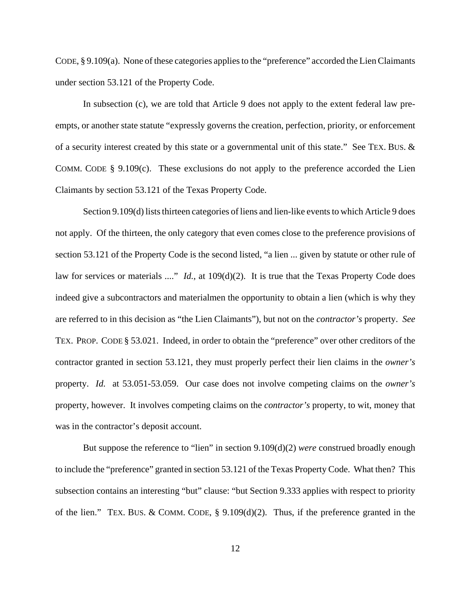CODE, § 9.109(a). None of these categories applies to the "preference" accorded the Lien Claimants under section 53.121 of the Property Code.

In subsection (c), we are told that Article 9 does not apply to the extent federal law preempts, or another state statute "expressly governs the creation, perfection, priority, or enforcement of a security interest created by this state or a governmental unit of this state." See TEX. BUS. & COMM. CODE  $\S$  9.109(c). These exclusions do not apply to the preference accorded the Lien Claimants by section 53.121 of the Texas Property Code.

Section 9.109(d) lists thirteen categories of liens and lien-like events to which Article 9 does not apply. Of the thirteen, the only category that even comes close to the preference provisions of section 53.121 of the Property Code is the second listed, "a lien ... given by statute or other rule of law for services or materials ...." *Id.*, at 109(d)(2). It is true that the Texas Property Code does indeed give a subcontractors and materialmen the opportunity to obtain a lien (which is why they are referred to in this decision as "the Lien Claimants"), but not on the *contractor's* property. *See* TEX. PROP. CODE § 53.021. Indeed, in order to obtain the "preference" over other creditors of the contractor granted in section 53.121, they must properly perfect their lien claims in the *owner's* property. *Id.* at 53.051-53.059. Our case does not involve competing claims on the *owner's* property, however. It involves competing claims on the *contractor's* property, to wit, money that was in the contractor's deposit account.

But suppose the reference to "lien" in section 9.109(d)(2) *were* construed broadly enough to include the "preference" granted in section 53.121 of the Texas Property Code. What then? This subsection contains an interesting "but" clause: "but Section 9.333 applies with respect to priority of the lien." TEX. BUS. & COMM. CODE, § 9.109(d)(2). Thus, if the preference granted in the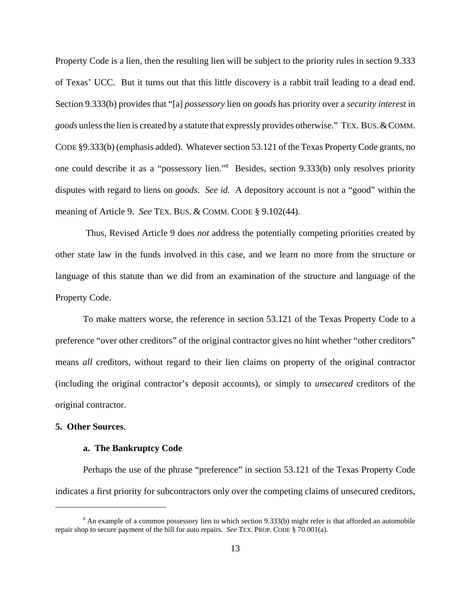Property Code is a lien, then the resulting lien will be subject to the priority rules in section 9.333 of Texas' UCC. But it turns out that this little discovery is a rabbit trail leading to a dead end. Section 9.333(b) provides that "[a] *possessory* lien on *goods* has priority over a *security interest* in *goods* unless the lien is created by a statute that expressly provides otherwise." TEX. BUS.&COMM. CODE §9.333(b) (emphasis added). Whatever section 53.121 of the Texas Property Code grants, no one could describe it as a "possessory lien."8 Besides, section 9.333(b) only resolves priority disputes with regard to liens on *goods*. *See id.* A depository account is not a "good" within the meaning of Article 9. *See* TEX. BUS. & COMM. CODE § 9.102(44).

 Thus, Revised Article 9 does *not* address the potentially competing priorities created by other state law in the funds involved in this case, and we learn no more from the structure or language of this statute than we did from an examination of the structure and language of the Property Code.

To make matters worse, the reference in section 53.121 of the Texas Property Code to a preference "over other creditors" of the original contractor gives no hint whether "other creditors" means *all* creditors, without regard to their lien claims on property of the original contractor (including the original contractor's deposit accounts), or simply to *unsecured* creditors of the original contractor.

#### **5. Other Sources**.

#### **a. The Bankruptcy Code**

Perhaps the use of the phrase "preference" in section 53.121 of the Texas Property Code indicates a first priority for subcontractors only over the competing claims of unsecured creditors,

<sup>&</sup>lt;sup>8</sup> An example of a common possessory lien to which section 9.333(b) might refer is that afforded an automobile repair shop to secure payment of the bill for auto repairs. *See* TEX. PROP. CODE § 70.001(a).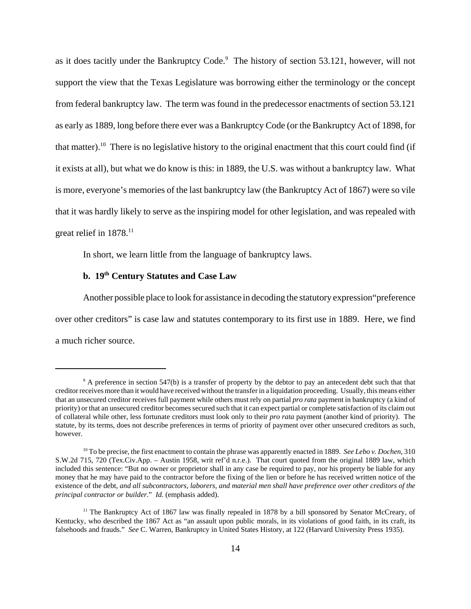as it does tacitly under the Bankruptcy Code.<sup>9</sup> The history of section 53.121, however, will not support the view that the Texas Legislature was borrowing either the terminology or the concept from federal bankruptcy law. The term was found in the predecessor enactments of section 53.121 as early as 1889, long before there ever was a Bankruptcy Code (or the Bankruptcy Act of 1898, for that matter).10 There is no legislative history to the original enactment that this court could find (if it exists at all), but what we do know is this: in 1889, the U.S. was without a bankruptcy law. What is more, everyone's memories of the last bankruptcy law (the Bankruptcy Act of 1867) were so vile that it was hardly likely to serve as the inspiring model for other legislation, and was repealed with great relief in  $1878$ <sup>11</sup>

In short, we learn little from the language of bankruptcy laws.

## **b. 19th Century Statutes and Case Law**

Another possible place to look for assistance in decoding the statutory expression"preference over other creditors" is case law and statutes contemporary to its first use in 1889. Here, we find a much richer source.

<sup>&</sup>lt;sup>9</sup> A preference in section 547(b) is a transfer of property by the debtor to pay an antecedent debt such that that creditor receives more than it would have received without the transfer in a liquidation proceeding. Usually, this means either that an unsecured creditor receives full payment while others must rely on partial *pro rata* payment in bankruptcy (a kind of priority) or that an unsecured creditor becomes secured such that it can expect partial or complete satisfaction of its claim out of collateral while other, less fortunate creditors must look only to their *pro rata* payment (another kind of priority). The statute, by its terms, does not describe preferences in terms of priority of payment over other unsecured creditors as such, however.

<sup>10</sup> To be precise, the first enactment to contain the phrase was apparently enacted in 1889. *See Lebo v. Dochen*, 310 S.W.2d 715, 720 (Tex.Civ.App. – Austin 1958, writ ref'd n.r.e.). That court quoted from the original 1889 law, which included this sentence: "But no owner or proprietor shall in any case be required to pay, nor his property be liable for any money that he may have paid to the contractor before the fixing of the lien or before he has received written notice of the existence of the debt, *and all subcontractors, laborers, and material men shall have preference over other creditors of the principal contractor or builder*." *Id.* (emphasis added).

<sup>&</sup>lt;sup>11</sup> The Bankruptcy Act of 1867 law was finally repealed in 1878 by a bill sponsored by Senator McCreary, of Kentucky, who described the 1867 Act as "an assault upon public morals, in its violations of good faith, in its craft, its falsehoods and frauds." *See* C. Warren, Bankruptcy in United States History, at 122 (Harvard University Press 1935).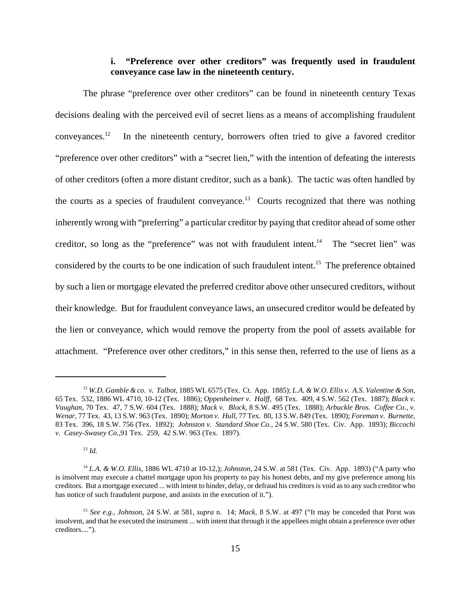## **i. "Preference over other creditors" was frequently used in fraudulent conveyance case law in the nineteenth century.**

The phrase "preference over other creditors" can be found in nineteenth century Texas decisions dealing with the perceived evil of secret liens as a means of accomplishing fraudulent conveyances.12 In the nineteenth century, borrowers often tried to give a favored creditor "preference over other creditors" with a "secret lien," with the intention of defeating the interests of other creditors (often a more distant creditor, such as a bank). The tactic was often handled by the courts as a species of fraudulent conveyance.<sup>13</sup> Courts recognized that there was nothing inherently wrong with "preferring" a particular creditor by paying that creditor ahead of some other creditor, so long as the "preference" was not with fraudulent intent.<sup>14</sup> The "secret lien" was considered by the courts to be one indication of such fraudulent intent.<sup>15</sup> The preference obtained by such a lien or mortgage elevated the preferred creditor above other unsecured creditors, without their knowledge. But for fraudulent conveyance laws, an unsecured creditor would be defeated by the lien or conveyance, which would remove the property from the pool of assets available for attachment. "Preference over other creditors," in this sense then, referred to the use of liens as a

 $13 \, Id.$ 

<sup>12</sup> *W.D. Gamble & co. v. Talbot,* 1885 WL 6575 (Tex. Ct. App. 1885); *L.A. & W.O. Ellis v. A.S. Valentine & Son,* 65 Tex. 532, 1886 WL 4710, 10-12 (Tex. 1886); *Oppenheimer v. Halff,* 68 Tex. 409, 4 S.W. 562 (Tex. 1887); *Black v. Vaughan,* 70 Tex. 47, 7 S.W. 604 (Tex. 1888); *Mack v. Block,* 8 S.W. 495 (Tex. 1888); *Arbuckle Bros. Coffee Co., v. Wenar,* 77 Tex. 43, 13 S.W. 963 (Tex. 1890); *Morton v. Hull,* 77 Tex. 80, 13 S.W. 849 (Tex. 1890); *Foreman v. Burnette,* 83 Tex. 396, 18 S.W. 756 (Tex. 1892); *Johnston v. Standard Shoe Co.,* 24 S.W. 580 (Tex. Civ. App. 1893); *Biccochi v. Casey-Swasey Co.,*91 Tex. 259, 42 S.W. 963 (Tex. 1897).

<sup>14</sup> *L.A. & W.O. Ellis,* 1886 WL 4710 at 10-12,); *Johnston,* 24 S.W. at 581 (Tex. Civ. App. 1893) ("A party who is insolvent may execute a chattel mortgage upon his property to pay his honest debts, and my give preference among his creditors. But a mortgage executed ... with intent to hinder, delay, or defraud his creditors is void as to any such creditor who has notice of such fraudulent purpose, and assists in the execution of it.").

<sup>15</sup> *See e.g., Johnson,* 24 S.W. at 581, *supra* n. 14; *Mack,* 8 S.W. at 497 ("It may be conceded that Porst was insolvent, and that he executed the instrument ... with intent that through it the appellees might obtain a preference over other creditors....").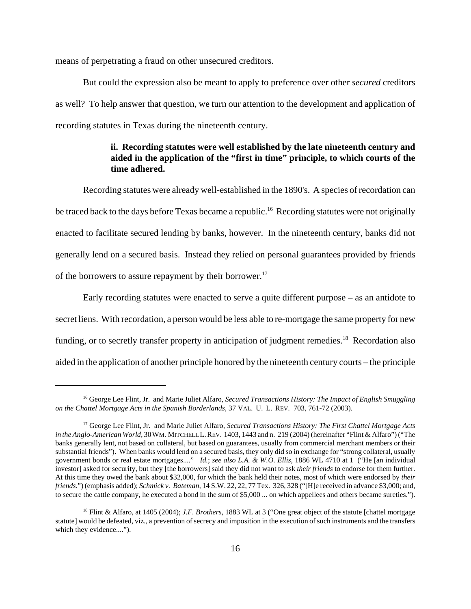means of perpetrating a fraud on other unsecured creditors.

But could the expression also be meant to apply to preference over other *secured* creditors as well? To help answer that question, we turn our attention to the development and application of recording statutes in Texas during the nineteenth century.

## **ii. Recording statutes were well established by the late nineteenth century and aided in the application of the "first in time" principle, to which courts of the time adhered.**

Recording statutes were already well-established in the 1890's. A species of recordation can be traced back to the days before Texas became a republic.<sup>16</sup> Recording statutes were not originally enacted to facilitate secured lending by banks, however. In the nineteenth century, banks did not generally lend on a secured basis. Instead they relied on personal guarantees provided by friends of the borrowers to assure repayment by their borrower.<sup>17</sup>

Early recording statutes were enacted to serve a quite different purpose – as an antidote to secret liens. With recordation, a person would be less able to re-mortgage the same property for new funding, or to secretly transfer property in anticipation of judgment remedies.<sup>18</sup> Recordation also aided in the application of another principle honored by the nineteenth century courts – the principle

<sup>16</sup> George Lee Flint, Jr. and Marie Juliet Alfaro, *Secured Transactions History: The Impact of English Smuggling on the Chattel Mortgage Acts in the Spanish Borderlands,* 37 VAL. U. L. REV. 703, 761-72 (2003).

<sup>17</sup> George Lee Flint, Jr. and Marie Juliet Alfaro, *Secured Transactions History: The First Chattel Mortgage Acts in the Anglo-American World,* 30WM. MITCHELL L.REV. 1403, 1443 and n. 219 (2004) (hereinafter "Flint & Alfaro") ("The banks generally lent, not based on collateral, but based on guarantees, usually from commercial merchant members or their substantial friends"). When banks would lend on a secured basis, they only did so in exchange for "strong collateral, usually government bonds or real estate mortgages...." *Id.*; *see also L.A. & W.O. Ellis,* 1886 WL 4710 at 1 ("He [an individual investor] asked for security, but they [the borrowers] said they did not want to ask *their friends* to endorse for them further. At this time they owed the bank about \$32,000, for which the bank held their notes, most of which were endorsed by *their friends*.") (emphasis added); *Schmick v. Bateman,* 14 S.W. 22, 22, 77 Tex. 326, 328 ("[H]e received in advance \$3,000; and, to secure the cattle company, he executed a bond in the sum of \$5,000 ... on which appellees and others became sureties.").

<sup>18</sup> Flint & Alfaro, at 1405 (2004); *J.F. Brothers,* 1883 WL at 3 ("One great object of the statute [chattel mortgage statute] would be defeated, viz., a prevention of secrecy and imposition in the execution of such instruments and the transfers which they evidence....").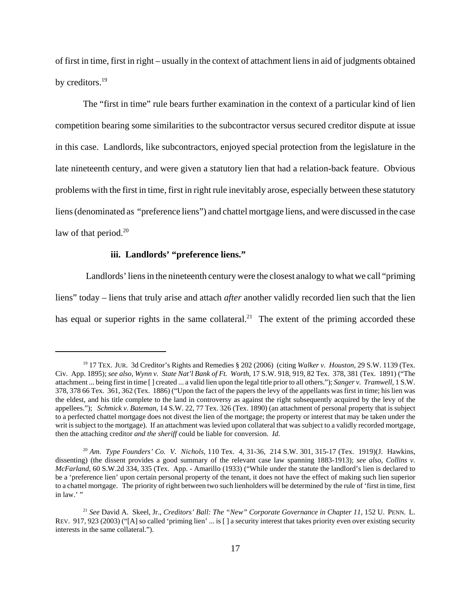of first in time, first in right – usually in the context of attachment liens in aid of judgments obtained by creditors.<sup>19</sup>

The "first in time" rule bears further examination in the context of a particular kind of lien competition bearing some similarities to the subcontractor versus secured creditor dispute at issue in this case. Landlords, like subcontractors, enjoyed special protection from the legislature in the late nineteenth century, and were given a statutory lien that had a relation-back feature. Obvious problems with the first in time, first in right rule inevitably arose, especially between these statutory liens (denominated as "preference liens") and chattel mortgage liens, and were discussed in the case law of that period. $20$ 

#### **iii. Landlords' "preference liens."**

 Landlords' liens in the nineteenth century were the closest analogy to what we call "priming liens" today – liens that truly arise and attach *after* another validly recorded lien such that the lien has equal or superior rights in the same collateral.<sup>21</sup> The extent of the priming accorded these

<sup>19 17</sup> TEX. JUR. 3d Creditor's Rights and Remedies § 202 (2006) (citing *Walker v. Houston,* 29 S.W. 1139 (Tex. Civ. App. 1895); *see also, Wynn v. State Nat'l Bank of Ft. Worth,* 17 S.W. 918, 919, 82 Tex. 378, 381 (Tex. 1891) ("The attachment ... being first in time [ ] created ... a valid lien upon the legal title prior to all others."); *Sanger v. Tramwell,* 1 S.W. 378, 378 66 Tex. 361, 362 (Tex. 1886) ("Upon the fact of the papers the levy of the appellants was first in time; his lien was the eldest, and his title complete to the land in controversy as against the right subsequently acquired by the levy of the appellees."); *Schmick v. Bateman*, 14 S.W. 22, 77 Tex. 326 (Tex. 1890) (an attachment of personal property that is subject to a perfected chattel mortgage does not divest the lien of the mortgage; the property or interest that may be taken under the writ is subject to the mortgage). If an attachment was levied upon collateral that was subject to a validly recorded mortgage, then the attaching creditor *and the sheriff* could be liable for conversion. *Id.*

<sup>20</sup> *Am. Type Founders' Co. V. Nichols,* 110 Tex. 4, 31-36, 214 S.W. 301, 315-17 (Tex. 1919)(J. Hawkins, dissenting) (the dissent provides a good summary of the relevant case law spanning 1883-1913); *see also, Collins v. McFarland,* 60 S.W.2d 334, 335 (Tex. App. - Amarillo (1933) ("While under the statute the landlord's lien is declared to be a 'preference lien' upon certain personal property of the tenant, it does not have the effect of making such lien superior to a chattel mortgage. The priority of right between two such lienholders will be determined by the rule of 'first in time, first in law.'"

<sup>&</sup>lt;sup>21</sup> See David A. Skeel, Jr., *Creditors' Ball: The "New" Corporate Governance in Chapter 11*, 152 U. PENN. L. REV. 917, 923 (2003) ("[A] so called 'priming lien' ... is [ ] a security interest that takes priority even over existing security interests in the same collateral.").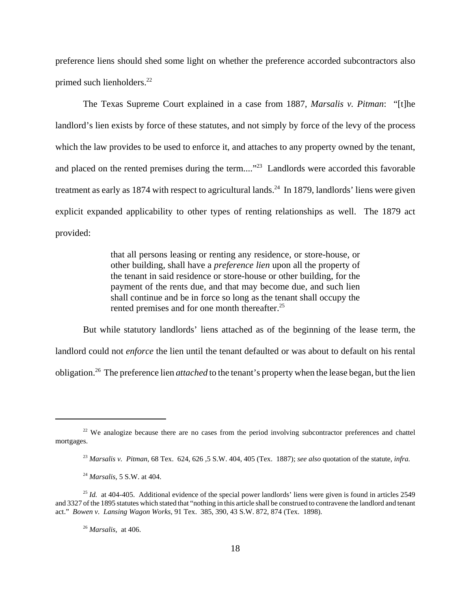preference liens should shed some light on whether the preference accorded subcontractors also primed such lienholders.<sup>22</sup>

The Texas Supreme Court explained in a case from 1887, *Marsalis v. Pitman*: "[t]he landlord's lien exists by force of these statutes, and not simply by force of the levy of the process which the law provides to be used to enforce it, and attaches to any property owned by the tenant, and placed on the rented premises during the term...."<sup>23</sup> Landlords were accorded this favorable treatment as early as 1874 with respect to agricultural lands.<sup>24</sup> In 1879, landlords' liens were given explicit expanded applicability to other types of renting relationships as well. The 1879 act provided:

> that all persons leasing or renting any residence, or store-house, or other building, shall have a *preference lien* upon all the property of the tenant in said residence or store-house or other building, for the payment of the rents due, and that may become due, and such lien shall continue and be in force so long as the tenant shall occupy the rented premises and for one month thereafter.<sup>25</sup>

But while statutory landlords' liens attached as of the beginning of the lease term, the landlord could not *enforce* the lien until the tenant defaulted or was about to default on his rental obligation.26 The preference lien *attached* to the tenant's property when the lease began, but the lien

 $22$  We analogize because there are no cases from the period involving subcontractor preferences and chattel mortgages.

<sup>23</sup> *Marsalis v. Pitman,* 68 Tex. 624, 626 *,*5 S.W. 404, 405 (Tex. 1887); *see also* quotation of the statute, *infra.*

<sup>24</sup> *Marsalis,* 5 S.W. at 404.

<sup>&</sup>lt;sup>25</sup> *Id.* at 404-405. Additional evidence of the special power landlords' liens were given is found in articles 2549 and 3327 of the 1895 statutes which stated that "nothing in this article shall be construed to contravene the landlord and tenant act." *Bowen v. Lansing Wagon Works,* 91 Tex. 385, 390, 43 S.W. 872, 874 (Tex. 1898).

<sup>26</sup> *Marsalis,* at 406.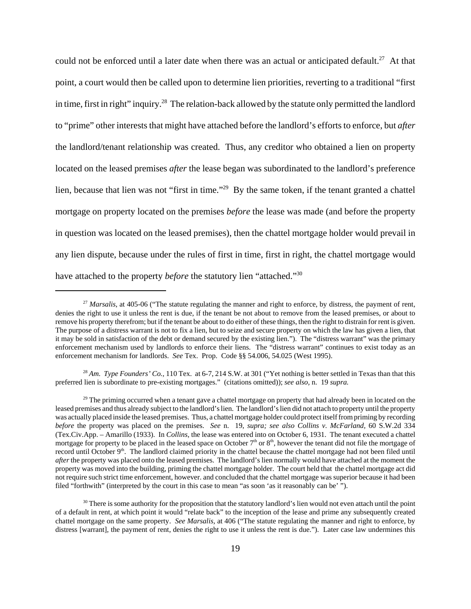could not be enforced until a later date when there was an actual or anticipated default.<sup>27</sup> At that point, a court would then be called upon to determine lien priorities, reverting to a traditional "first in time, first in right" inquiry.28 The relation-back allowed by the statute only permitted the landlord to "prime" other interests that might have attached before the landlord's efforts to enforce, but *after* the landlord/tenant relationship was created. Thus, any creditor who obtained a lien on property located on the leased premises *after* the lease began was subordinated to the landlord's preference lien, because that lien was not "first in time."29 By the same token, if the tenant granted a chattel mortgage on property located on the premises *before* the lease was made (and before the property in question was located on the leased premises), then the chattel mortgage holder would prevail in any lien dispute, because under the rules of first in time, first in right, the chattel mortgage would have attached to the property *before* the statutory lien "attached."<sup>30</sup>

<sup>28</sup> *Am. Type Founders' Co.*, 110 Tex. at 6-7, 214 S.W. at 301 ("Yet nothing is better settled in Texas than that this preferred lien is subordinate to pre-existing mortgages." (citations omitted)); *see also,* n. 19 *supra.*

<sup>&</sup>lt;sup>27</sup> *Marsalis*, at 405-06 ("The statute regulating the manner and right to enforce, by distress, the payment of rent, denies the right to use it unless the rent is due, if the tenant be not about to remove from the leased premises, or about to remove his property therefrom; but if the tenant be about to do either of these things, then the right to distrain for rent is given. The purpose of a distress warrant is not to fix a lien, but to seize and secure property on which the law has given a lien, that it may be sold in satisfaction of the debt or demand secured by the existing lien."). The "distress warrant" was the primary enforcement mechanism used by landlords to enforce their liens. The "distress warrant" continues to exist today as an enforcement mechanism for landlords. *See* Tex. Prop. Code §§ 54.006, 54.025 (West 1995).

<sup>&</sup>lt;sup>29</sup> The priming occurred when a tenant gave a chattel mortgage on property that had already been in located on the leased premises and thus already subject to the landlord's lien. The landlord's lien did not attach to property until the property was actually placed inside the leased premises. Thus, a chattel mortgage holder could protect itself from priming by recording *before* the property was placed on the premises. *See* n. 19, *supra; see also Collins v. McFarland,* 60 S.W.2d 334 (Tex.Civ.App. – Amarillo (1933). In *Collins*, the lease was entered into on October 6, 1931. The tenant executed a chattel mortgage for property to be placed in the leased space on October  $7<sup>th</sup>$  or  $8<sup>th</sup>$ , however the tenant did not file the mortgage of record until October  $9<sup>th</sup>$ . The landlord claimed priority in the chattel because the chattel mortgage had not been filed until *after* the property was placed onto the leased premises. The landlord's lien normally would have attached at the moment the property was moved into the building, priming the chattel mortgage holder. The court held that the chattel mortgage act did not require such strict time enforcement, however. and concluded that the chattel mortgage was superior because it had been filed "forthwith" (interpreted by the court in this case to mean "as soon 'as it reasonably can be' ").

 $30$  There is some authority for the proposition that the statutory landlord's lien would not even attach until the point of a default in rent, at which point it would "relate back" to the inception of the lease and prime any subsequently created chattel mortgage on the same property. *See Marsalis,* at 406 ("The statute regulating the manner and right to enforce, by distress [warrant], the payment of rent, denies the right to use it unless the rent is due."). Later case law undermines this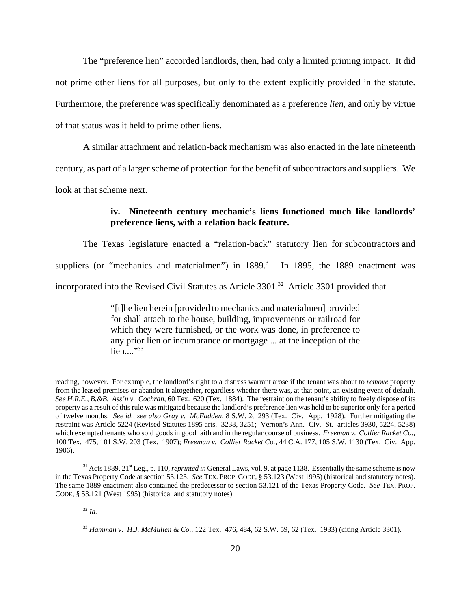The "preference lien" accorded landlords, then, had only a limited priming impact. It did not prime other liens for all purposes, but only to the extent explicitly provided in the statute. Furthermore, the preference was specifically denominated as a preference *lien*, and only by virtue of that status was it held to prime other liens.

A similar attachment and relation-back mechanism was also enacted in the late nineteenth century, as part of a larger scheme of protection for the benefit of subcontractors and suppliers. We look at that scheme next.

## **iv. Nineteenth century mechanic's liens functioned much like landlords' preference liens, with a relation back feature.**

 The Texas legislature enacted a "relation-back" statutory lien for subcontractors and suppliers (or "mechanics and materialmen") in  $1889$ <sup>31</sup> In 1895, the 1889 enactment was incorporated into the Revised Civil Statutes as Article 3301.<sup>32</sup> Article 3301 provided that

> "[t]he lien herein [provided to mechanics and materialmen] provided for shall attach to the house, building, improvements or railroad for which they were furnished, or the work was done, in preference to any prior lien or incumbrance or mortgage ... at the inception of the  $lien...$ <sup>33</sup>

 $32$  *Id.* 

reading, however. For example, the landlord's right to a distress warrant arose if the tenant was about to *remove* property from the leased premises or abandon it altogether, regardless whether there was, at that point, an existing event of default. *See H.R.E., B.&B. Ass'n v. Cochran,* 60 Tex. 620 (Tex. 1884). The restraint on the tenant's ability to freely dispose of its property as a result of this rule was mitigated because the landlord's preference lien was held to be superior only for a period of twelve months. *See id., see also Gray v. McFadden,* 8 S.W. 2d 293 (Tex. Civ. App. 1928). Further mitigating the restraint was Article 5224 (Revised Statutes 1895 arts. 3238, 3251; Vernon's Ann. Civ. St. articles 3930, 5224, 5238) which exempted tenants who sold goods in good faith and in the regular course of business. *Freeman v. Collier Racket Co.,* 100 Tex. 475, 101 S.W. 203 (Tex. 1907); *Freeman v. Collier Racket Co.,* 44 C.A. 177, 105 S.W. 1130 (Tex. Civ. App. 1906).

<sup>&</sup>lt;sup>31</sup> Acts 1889, 21<sup>st</sup> Leg., p. 110, *reprinted in* General Laws, vol. 9, at page 1138. Essentially the same scheme is now in the Texas Property Code at section 53.123. *See* TEX. PROP. CODE, § 53.123 (West 1995) (historical and statutory notes). The same 1889 enactment also contained the predecessor to section 53.121 of the Texas Property Code. *See* TEX. PROP. CODE, § 53.121 (West 1995) (historical and statutory notes).

<sup>33</sup> *Hamman v. H.J. McMullen & Co.,* 122 Tex. 476, 484, 62 S.W. 59, 62 (Tex. 1933) (citing Article 3301).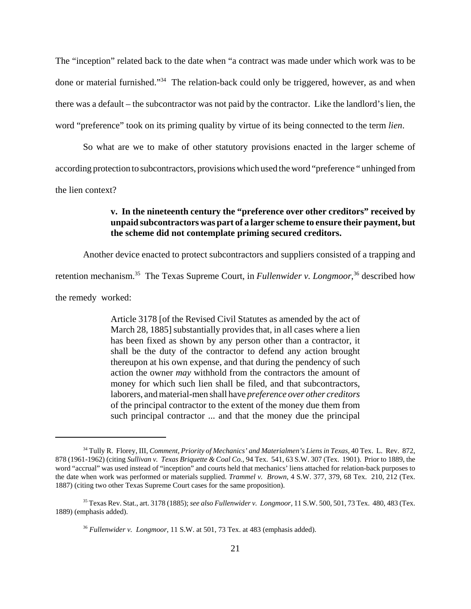The "inception" related back to the date when "a contract was made under which work was to be done or material furnished."34 The relation-back could only be triggered, however, as and when there was a default – the subcontractor was not paid by the contractor. Like the landlord's lien, the word "preference" took on its priming quality by virtue of its being connected to the term *lien*.

So what are we to make of other statutory provisions enacted in the larger scheme of according protection to subcontractors, provisions which used the word "preference " unhinged from the lien context?

## **v. In the nineteenth century the "preference over other creditors" received by unpaid subcontractors was part of a larger scheme to ensure their payment, but the scheme did not contemplate priming secured creditors.**

Another device enacted to protect subcontractors and suppliers consisted of a trapping and

retention mechanism.<sup>35</sup> The Texas Supreme Court, in *Fullenwider v. Longmoor*,<sup>36</sup> described how

the remedy worked:

Article 3178 [of the Revised Civil Statutes as amended by the act of March 28, 1885] substantially provides that, in all cases where a lien has been fixed as shown by any person other than a contractor, it shall be the duty of the contractor to defend any action brought thereupon at his own expense, and that during the pendency of such action the owner *may* withhold from the contractors the amount of money for which such lien shall be filed, and that subcontractors, laborers, and material-men shall have *preference over other creditors* of the principal contractor to the extent of the money due them from such principal contractor ... and that the money due the principal

<sup>34</sup> Tully R. Florey, III, *Comment, Priority of Mechanics' and Materialmen's Liens in Texas,* 40 Tex. L. Rev. 872, 878 (1961-1962) (citing *Sullivan v. Texas Briquette & Coal Co.,* 94 Tex. 541, 63 S.W. 307 (Tex. 1901). Prior to 1889, the word "accrual" was used instead of "inception" and courts held that mechanics' liens attached for relation-back purposes to the date when work was performed or materials supplied. *Trammel v. Brown,* 4 S.W. 377, 379, 68 Tex. 210, 212 (Tex. 1887) (citing two other Texas Supreme Court cases for the same proposition).

<sup>35</sup> Texas Rev. Stat., art. 3178 (1885); *see also Fullenwider v. Longmoor,* 11 S.W. 500, 501, 73 Tex. 480, 483 (Tex. 1889) (emphasis added).

<sup>36</sup> *Fullenwider v. Longmoor,* 11 S.W. at 501, 73 Tex. at 483 (emphasis added).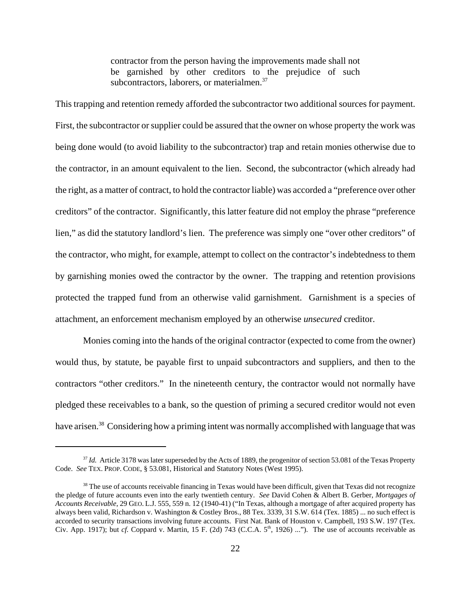contractor from the person having the improvements made shall not be garnished by other creditors to the prejudice of such subcontractors, laborers, or materialmen.<sup>37</sup>

This trapping and retention remedy afforded the subcontractor two additional sources for payment. First, the subcontractor or supplier could be assured that the owner on whose property the work was being done would (to avoid liability to the subcontractor) trap and retain monies otherwise due to the contractor, in an amount equivalent to the lien. Second, the subcontractor (which already had the right, as a matter of contract, to hold the contractor liable) was accorded a "preference over other creditors" of the contractor. Significantly, this latter feature did not employ the phrase "preference lien," as did the statutory landlord's lien. The preference was simply one "over other creditors" of the contractor, who might, for example, attempt to collect on the contractor's indebtedness to them by garnishing monies owed the contractor by the owner. The trapping and retention provisions protected the trapped fund from an otherwise valid garnishment. Garnishment is a species of attachment, an enforcement mechanism employed by an otherwise *unsecured* creditor.

Monies coming into the hands of the original contractor (expected to come from the owner) would thus, by statute, be payable first to unpaid subcontractors and suppliers, and then to the contractors "other creditors." In the nineteenth century, the contractor would not normally have pledged these receivables to a bank, so the question of priming a secured creditor would not even have arisen.<sup>38</sup> Considering how a priming intent was normally accomplished with language that was

<sup>&</sup>lt;sup>37</sup> *Id.* Article 3178 was later superseded by the Acts of 1889, the progenitor of section 53.081 of the Texas Property Code. *See* TEX. PROP. CODE, § 53.081, Historical and Statutory Notes (West 1995).

<sup>&</sup>lt;sup>38</sup> The use of accounts receivable financing in Texas would have been difficult, given that Texas did not recognize the pledge of future accounts even into the early twentieth century. *See* David Cohen & Albert B. Gerber, *Mortgages of Accounts Receivable*, 29 GEO. L.J. 555, 559 n. 12 (1940-41) ("In Texas, although a mortgage of after acquired property has always been valid, Richardson v. Washington & Costley Bros., 88 Tex. 3339, 31 S.W. 614 (Tex. 1885) ... no such effect is accorded to security transactions involving future accounts. First Nat. Bank of Houston v. Campbell, 193 S.W. 197 (Tex. Civ. App. 1917); but *cf.* Coppard v. Martin, 15 F. (2d) 743 (C.C.A. 5<sup>th</sup>, 1926) ..."). The use of accounts receivable as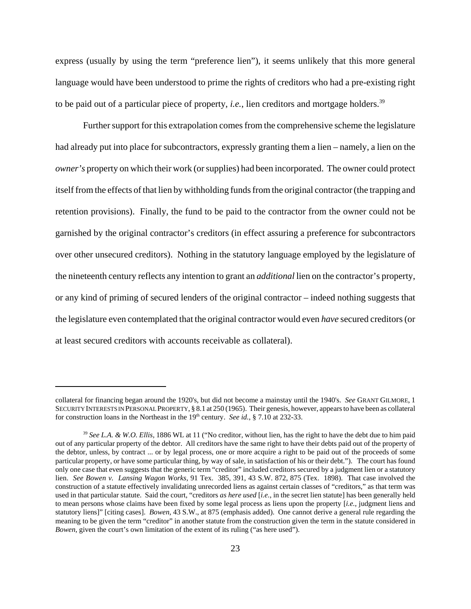express (usually by using the term "preference lien"), it seems unlikely that this more general language would have been understood to prime the rights of creditors who had a pre-existing right to be paid out of a particular piece of property, *i.e.*, lien creditors and mortgage holders.<sup>39</sup>

Further support for this extrapolation comes from the comprehensive scheme the legislature had already put into place for subcontractors, expressly granting them a lien – namely, a lien on the *owner's* property on which their work (or supplies) had been incorporated. The owner could protect itself from the effects of that lien by withholding funds from the original contractor (the trapping and retention provisions). Finally, the fund to be paid to the contractor from the owner could not be garnished by the original contractor's creditors (in effect assuring a preference for subcontractors over other unsecured creditors). Nothing in the statutory language employed by the legislature of the nineteenth century reflects any intention to grant an *additional* lien on the contractor's property, or any kind of priming of secured lenders of the original contractor – indeed nothing suggests that the legislature even contemplated that the original contractor would even *have* secured creditors (or at least secured creditors with accounts receivable as collateral).

collateral for financing began around the 1920's, but did not become a mainstay until the 1940's. *See* GRANT GILMORE, 1 SECURITY INTERESTS IN PERSONAL PROPERTY, § 8.1 at 250 (1965). Their genesis, however, appears to have been as collateral for construction loans in the Northeast in the 19<sup>th</sup> century. *See id.*, § 7.10 at 232-33.

<sup>39</sup> *See L.A. & W.O. Ellis,* 1886 WL at 11 ("No creditor, without lien, has the right to have the debt due to him paid out of any particular property of the debtor. All creditors have the same right to have their debts paid out of the property of the debtor, unless, by contract ... or by legal process, one or more acquire a right to be paid out of the proceeds of some particular property, or have some particular thing, by way of sale, in satisfaction of his or their debt."). The court has found only one case that even suggests that the generic term "creditor" included creditors secured by a judgment lien or a statutory lien. *See Bowen v. Lansing Wagon Works,* 91 Tex. 385, 391, 43 S.W. 872, 875 (Tex. 1898). That case involved the construction of a statute effectively invalidating unrecorded liens as against certain classes of "creditors," as that term was used in that particular statute. Said the court, "creditors *as here used* [*i.e.*, in the secret lien statute] has been generally held to mean persons whose claims have been fixed by some legal process as liens upon the property [*i.e.*, judgment liens and statutory liens]" [citing cases]. *Bowen*, 43 S.W., at 875 (emphasis added). One cannot derive a general rule regarding the meaning to be given the term "creditor" in another statute from the construction given the term in the statute considered in *Bowen*, given the court's own limitation of the extent of its ruling ("as here used").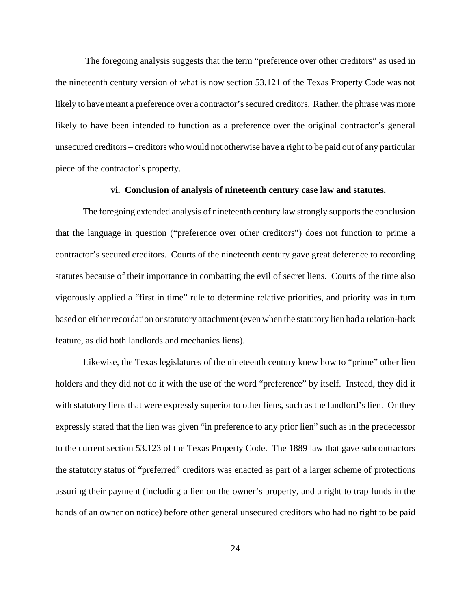The foregoing analysis suggests that the term "preference over other creditors" as used in the nineteenth century version of what is now section 53.121 of the Texas Property Code was not likely to have meant a preference over a contractor's secured creditors. Rather, the phrase was more likely to have been intended to function as a preference over the original contractor's general unsecured creditors – creditors who would not otherwise have a right to be paid out of any particular piece of the contractor's property.

#### **vi. Conclusion of analysis of nineteenth century case law and statutes.**

The foregoing extended analysis of nineteenth century law strongly supports the conclusion that the language in question ("preference over other creditors") does not function to prime a contractor's secured creditors. Courts of the nineteenth century gave great deference to recording statutes because of their importance in combatting the evil of secret liens. Courts of the time also vigorously applied a "first in time" rule to determine relative priorities, and priority was in turn based on either recordation or statutory attachment (even when the statutory lien had a relation-back feature, as did both landlords and mechanics liens).

Likewise, the Texas legislatures of the nineteenth century knew how to "prime" other lien holders and they did not do it with the use of the word "preference" by itself. Instead, they did it with statutory liens that were expressly superior to other liens, such as the landlord's lien. Or they expressly stated that the lien was given "in preference to any prior lien" such as in the predecessor to the current section 53.123 of the Texas Property Code. The 1889 law that gave subcontractors the statutory status of "preferred" creditors was enacted as part of a larger scheme of protections assuring their payment (including a lien on the owner's property, and a right to trap funds in the hands of an owner on notice) before other general unsecured creditors who had no right to be paid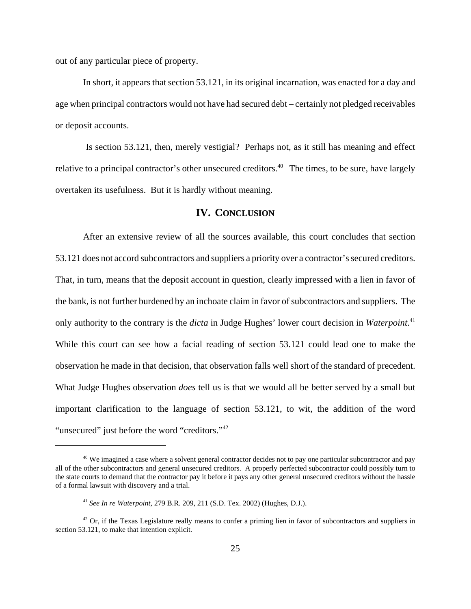out of any particular piece of property.

In short, it appears that section 53.121, in its original incarnation, was enacted for a day and age when principal contractors would not have had secured debt – certainly not pledged receivables or deposit accounts.

 Is section 53.121, then, merely vestigial? Perhaps not, as it still has meaning and effect relative to a principal contractor's other unsecured creditors.<sup>40</sup> The times, to be sure, have largely overtaken its usefulness. But it is hardly without meaning.

## **IV. CONCLUSION**

After an extensive review of all the sources available, this court concludes that section 53.121 does not accord subcontractors and suppliers a priority over a contractor's secured creditors. That, in turn, means that the deposit account in question, clearly impressed with a lien in favor of the bank, is not further burdened by an inchoate claim in favor of subcontractors and suppliers. The only authority to the contrary is the *dicta* in Judge Hughes' lower court decision in *Waterpoint*. 41 While this court can see how a facial reading of section 53.121 could lead one to make the observation he made in that decision, that observation falls well short of the standard of precedent. What Judge Hughes observation *does* tell us is that we would all be better served by a small but important clarification to the language of section 53.121, to wit, the addition of the word "unsecured" just before the word "creditors."<sup>42</sup>

<sup>&</sup>lt;sup>40</sup> We imagined a case where a solvent general contractor decides not to pay one particular subcontractor and pay all of the other subcontractors and general unsecured creditors. A properly perfected subcontractor could possibly turn to the state courts to demand that the contractor pay it before it pays any other general unsecured creditors without the hassle of a formal lawsuit with discovery and a trial.

<sup>41</sup> *See In re Waterpoint*, 279 B.R. 209, 211 (S.D. Tex. 2002) (Hughes, D.J.).

<sup>&</sup>lt;sup>42</sup> Or, if the Texas Legislature really means to confer a priming lien in favor of subcontractors and suppliers in section 53.121, to make that intention explicit.